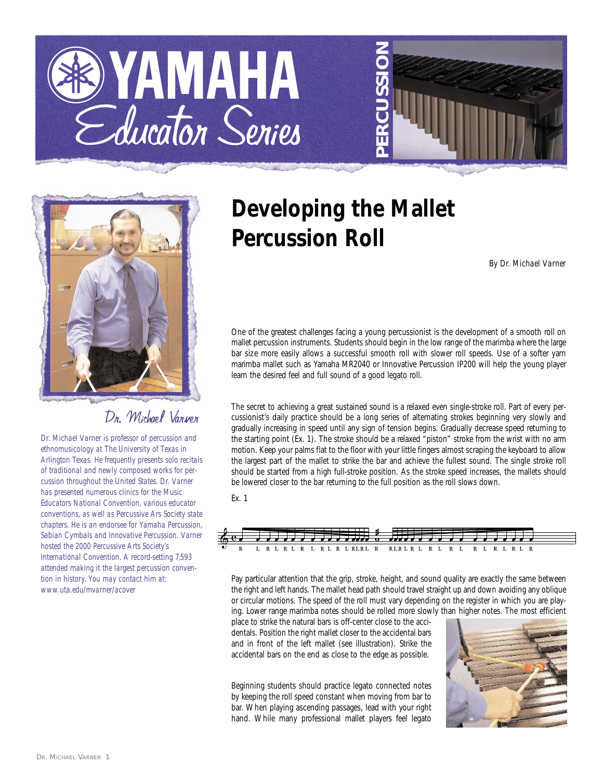





## Dr. Michael Varner

*Dr. Michael Varner is professor of percussion and ethnomusicology at The University of Texas in Arlington Texas. He frequently presents solo recitals of traditional and newly composed works for percussion throughout the United States. Dr. Varner has presented numerous clinics for the Music Educators National Convention, various educator conventions, as well as Percussive Ars Society state chapters. He is an endorsee for Yamaha Percussion, Sabian Cymbals and Innovative Percussion. Varner hosted the 2000 Percussive Arts Society's International Convention. A record-setting 7,593 attended making it the largest percussion convention in history. You may contact him at: www.uta.edu/mvarner/acover*

## **Developing the Mallet Percussion Roll**

*By Dr. Michael Varner*

One of the greatest challenges facing a young percussionist is the development of a smooth roll on mallet percussion instruments. Students should begin in the low range of the marimba where the large bar size more easily allows a successful smooth roll with slower roll speeds. Use of a softer yarn marimba mallet such as Yamaha MR2040 or Innovative Percussion IP200 will help the young player learn the desired feel and full sound of a good legato roll.

The secret to achieving a great sustained sound is a relaxed even single-stroke roll. Part of every percussionist's daily practice should be a long series of alternating strokes beginning very slowly and gradually increasing in speed until any sign of tension begins. Gradually decrease speed returning to the starting point (Ex. 1). The stroke should be a relaxed "piston" stroke from the wrist with no arm motion. Keep your palms flat to the floor with your little fingers almost scraping the keyboard to allow the largest part of the mallet to strike the bar and achieve the fullest sound. The single stroke roll should be started from a high full-stroke position. As the stroke speed increases, the mallets should be lowered closer to the bar returning to the full position as the roll slows down.

Ex. 1



Pay particular attention that the grip, stroke, height, and sound quality are exactly the same between the right and left hands. The mallet head path should travel straight up and down avoiding any oblique or circular motions. The speed of the roll must vary depending on the register in which you are playing. Lower range marimba notes should be rolled more slowly than higher notes. The most efficient

place to strike the natural bars is off-center close to the accidentals. Position the right mallet closer to the accidental bars and in front of the left mallet (see illustration). Strike the accidental bars on the end as close to the edge as possible.

Beginning students should practice legato connected notes by keeping the roll speed constant when moving from bar to bar. When playing ascending passages, lead with your right hand. While many professional mallet players feel legato

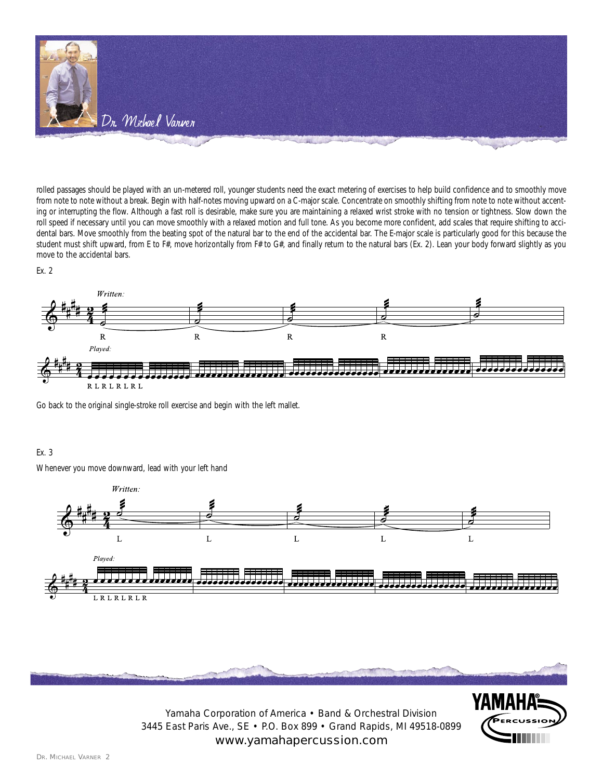

rolled passages should be played with an un-metered roll, younger students need the exact metering of exercises to help build confidence and to smoothly move from note to note without a break. Begin with half-notes moving upward on a C-major scale. Concentrate on smoothly shifting from note to note without accenting or interrupting the flow. Although a fast roll is desirable, make sure you are maintaining a relaxed wrist stroke with no tension or tightness. Slow down the roll speed if necessary until you can move smoothly with a relaxed motion and full tone. As you become more confident, add scales that require shifting to accidental bars. Move smoothly from the beating spot of the natural bar to the end of the accidental bar. The E-major scale is particularly good for this because the student must shift upward, from E to F#, move horizontally from F# to G#, and finally return to the natural bars (Ex. 2). Lean your body forward slightly as you move to the accidental bars.

Ex. 2



Go back to the original single-stroke roll exercise and begin with the left mallet.

## Ex. 3

Whenever you move downward, lead with your left hand





Yamaha Corporation of America • Band & Orchestral Division 3445 East Paris Ave., SE • P.O. Box 899 • Grand Rapids, MI 49518-0899 www.yamahapercussion.com

YAMAH